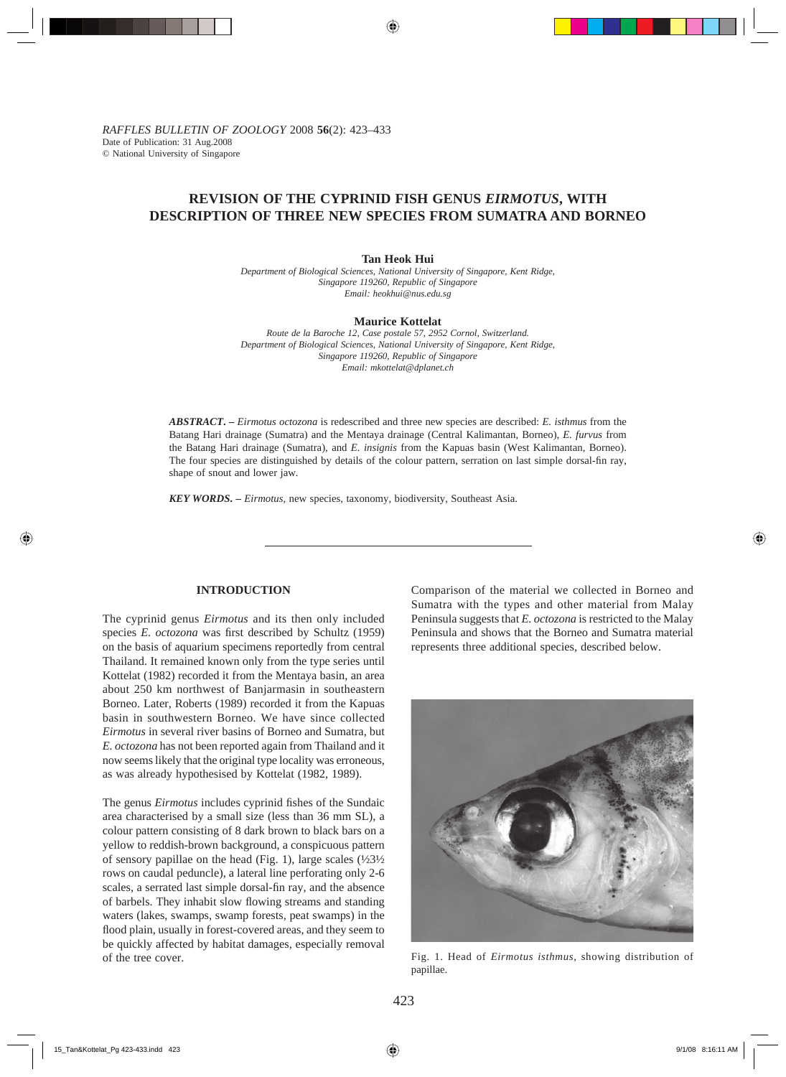# **REVISION OF THE CYPRINID FISH GENUS** *EIRMOTUS***, WITH DESCRIPTION OF THREE NEW SPECIES FROM SUMATRA AND BORNEO**

#### **Tan Heok Hui**

*Department of Biological Sciences, National University of Singapore, Kent Ridge, Singapore 119260, Republic of Singapore Email: heokhui@nus.edu.sg*

#### **Maurice Kottelat**

*Route de la Baroche 12, Case postale 57, 2952 Cornol, Switzerland. Department of Biological Sciences, National University of Singapore, Kent Ridge, Singapore 119260, Republic of Singapore Email: mkottelat@dplanet.ch*

*ABSTRACT***. –** *Eirmotus octozona* is redescribed and three new species are described: *E. isthmus* from the Batang Hari drainage (Sumatra) and the Mentaya drainage (Central Kalimantan, Borneo), *E. furvus* from the Batang Hari drainage (Sumatra), and *E. insignis* from the Kapuas basin (West Kalimantan, Borneo). The four species are distinguished by details of the colour pattern, serration on last simple dorsal-fin ray, shape of snout and lower jaw.

*KEY WORDS***. –** *Eirmotus*, new species, taxonomy, biodiversity, Southeast Asia.

### **INTRODUCTION**

The cyprinid genus *Eirmotus* and its then only included species *E. octozona* was first described by Schultz (1959) on the basis of aquarium specimens reportedly from central Thailand. It remained known only from the type series until Kottelat (1982) recorded it from the Mentaya basin, an area about 250 km northwest of Banjarmasin in southeastern Borneo. Later, Roberts (1989) recorded it from the Kapuas basin in southwestern Borneo. We have since collected *Eirmotus* in several river basins of Borneo and Sumatra, but *E. octozona* has not been reported again from Thailand and it now seems likely that the original type locality was erroneous, as was already hypothesised by Kottelat (1982, 1989).

The genus *Eirmotus* includes cyprinid fishes of the Sundaic area characterised by a small size (less than 36 mm SL), a colour pattern consisting of 8 dark brown to black bars on a yellow to reddish-brown background, a conspicuous pattern of sensory papillae on the head (Fig. 1), large scales  $(\frac{1}{2}3\frac{1}{2})$ rows on caudal peduncle), a lateral line perforating only 2-6 scales, a serrated last simple dorsal-fin ray, and the absence of barbels. They inhabit slow flowing streams and standing waters (lakes, swamps, swamp forests, peat swamps) in the flood plain, usually in forest-covered areas, and they seem to be quickly affected by habitat damages, especially removal of the tree cover.

Comparison of the material we collected in Borneo and Sumatra with the types and other material from Malay Peninsula suggests that *E. octozona* is restricted to the Malay Peninsula and shows that the Borneo and Sumatra material represents three additional species, described below.



Fig. 1. Head of *Eirmotus isthmus*, showing distribution of papillae.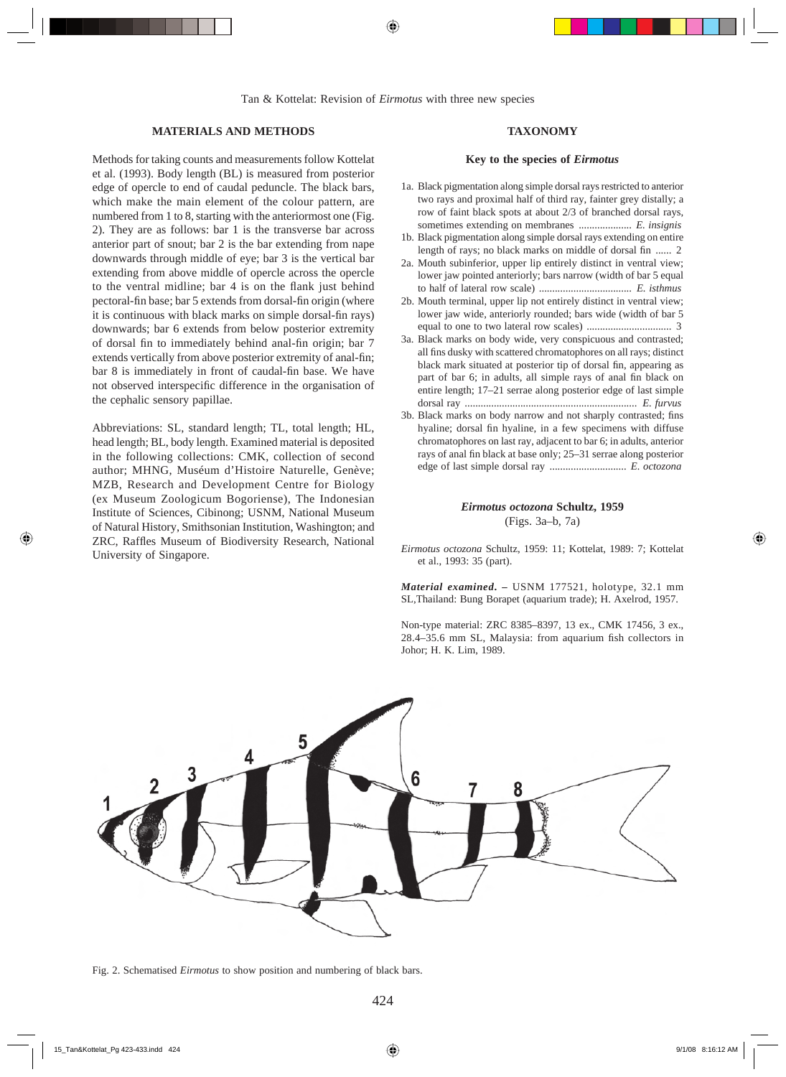### **MATERIALS AND METHODS**

Methods for taking counts and measurements follow Kottelat et al. (1993). Body length (BL) is measured from posterior edge of opercle to end of caudal peduncle. The black bars, which make the main element of the colour pattern, are numbered from 1 to 8, starting with the anteriormost one (Fig. 2). They are as follows: bar 1 is the transverse bar across anterior part of snout; bar 2 is the bar extending from nape downwards through middle of eye; bar 3 is the vertical bar extending from above middle of opercle across the opercle to the ventral midline; bar 4 is on the flank just behind pectoral-fin base; bar 5 extends from dorsal-fin origin (where it is continuous with black marks on simple dorsal-fin rays) downwards; bar 6 extends from below posterior extremity of dorsal fin to immediately behind anal-fin origin; bar 7 extends vertically from above posterior extremity of anal-fin; bar 8 is immediately in front of caudal-fin base. We have not observed interspecific difference in the organisation of the cephalic sensory papillae.

Abbreviations: SL, standard length; TL, total length; HL, head length; BL, body length. Examined material is deposited in the following collections: CMK, collection of second author; MHNG, Muséum d'Histoire Naturelle, Genève; MZB, Research and Development Centre for Biology (ex Museum Zoologicum Bogoriense), The Indonesian Institute of Sciences, Cibinong; USNM, National Museum of Natural History, Smithsonian Institution, Washington; and ZRC, Raffles Museum of Biodiversity Research, National University of Singapore.

## **TAXONOMY**

#### **Key to the species of** *Eirmotus*

- 1a. Black pigmentation along simple dorsal rays restricted to anterior two rays and proximal half of third ray, fainter grey distally; a row of faint black spots at about 2/3 of branched dorsal rays, sometimes extending on membranes .................... *E. insignis*
- 1b. Black pigmentation along simple dorsal rays extending on entire length of rays; no black marks on middle of dorsal fin ...... 2
- 2a. Mouth subinferior, upper lip entirely distinct in ventral view; lower jaw pointed anteriorly; bars narrow (width of bar 5 equal to half of lateral row scale) ................................... *E. isthmus*
- 2b. Mouth terminal, upper lip not entirely distinct in ventral view; lower jaw wide, anteriorly rounded; bars wide (width of bar 5 equal to one to two lateral row scales) ................................ 3
- 3a. Black marks on body wide, very conspicuous and contrasted; all fins dusky with scattered chromatophores on all rays; distinct black mark situated at posterior tip of dorsal fin, appearing as part of bar 6; in adults, all simple rays of anal fin black on entire length; 17–21 serrae along posterior edge of last simple dorsal ray ................................................................. *E. furvus*
- 3b. Black marks on body narrow and not sharply contrasted; fins hyaline; dorsal fin hyaline, in a few specimens with diffuse chromatophores on last ray, adjacent to bar 6; in adults, anterior rays of anal fin black at base only; 25-31 serrae along posterior edge of last simple dorsal ray ............................. *E. octozona*

#### *Eirmotus octozona* **Schultz, 1959** (Figs. 3a–b, 7a)

*Eirmotus octozona* Schultz, 1959: 11; Kottelat, 1989: 7; Kottelat et al., 1993: 35 (part).

*Material examined***. –** USNM 177521, holotype, 32.1 mm SL,Thailand: Bung Borapet (aquarium trade); H. Axelrod, 1957.

Non-type material: ZRC 8385–8397, 13 ex., CMK 17456, 3 ex., 28.4–35.6 mm SL, Malaysia: from aquarium fish collectors in Johor; H. K. Lim, 1989.



Fig. 2. Schematised *Eirmotus* to show position and numbering of black bars.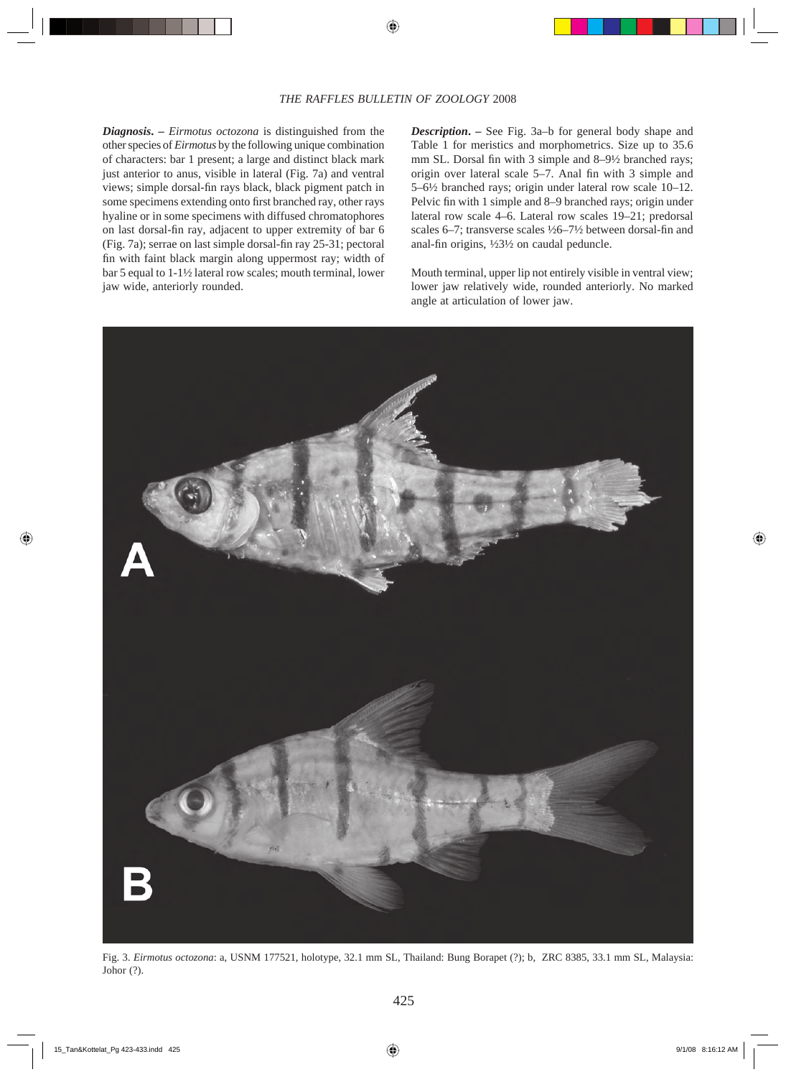*Diagnosis***. –** *Eirmotus octozona* is distinguished from the other species of *Eirmotus* by the following unique combination of characters: bar 1 present; a large and distinct black mark just anterior to anus, visible in lateral (Fig. 7a) and ventral views; simple dorsal-fin rays black, black pigment patch in some specimens extending onto first branched ray, other rays hyaline or in some specimens with diffused chromatophores on last dorsal-fin ray, adjacent to upper extremity of bar 6 (Fig. 7a); serrae on last simple dorsal-fin ray 25-31; pectoral fin with faint black margin along uppermost ray; width of bar 5 equal to 1-1½ lateral row scales; mouth terminal, lower jaw wide, anteriorly rounded.

*Description***. –** See Fig. 3a–b for general body shape and Table 1 for meristics and morphometrics. Size up to 35.6 mm SL. Dorsal fin with 3 simple and  $8-9\frac{1}{2}$  branched rays; origin over lateral scale  $5-7$ . Anal fin with 3 simple and 5–6½ branched rays; origin under lateral row scale 10–12. Pelvic fin with 1 simple and 8–9 branched rays; origin under lateral row scale 4–6. Lateral row scales 19–21; predorsal scales 6–7; transverse scales  $\frac{1}{26}$ –7½ between dorsal-fin and anal-fin origins,  $\frac{1}{2}3\frac{1}{2}$  on caudal peduncle.

Mouth terminal, upper lip not entirely visible in ventral view; lower jaw relatively wide, rounded anteriorly. No marked angle at articulation of lower jaw.



Fig. 3. *Eirmotus octozona*: a, USNM 177521, holotype, 32.1 mm SL, Thailand: Bung Borapet (?); b, ZRC 8385, 33.1 mm SL, Malaysia: Johor (?).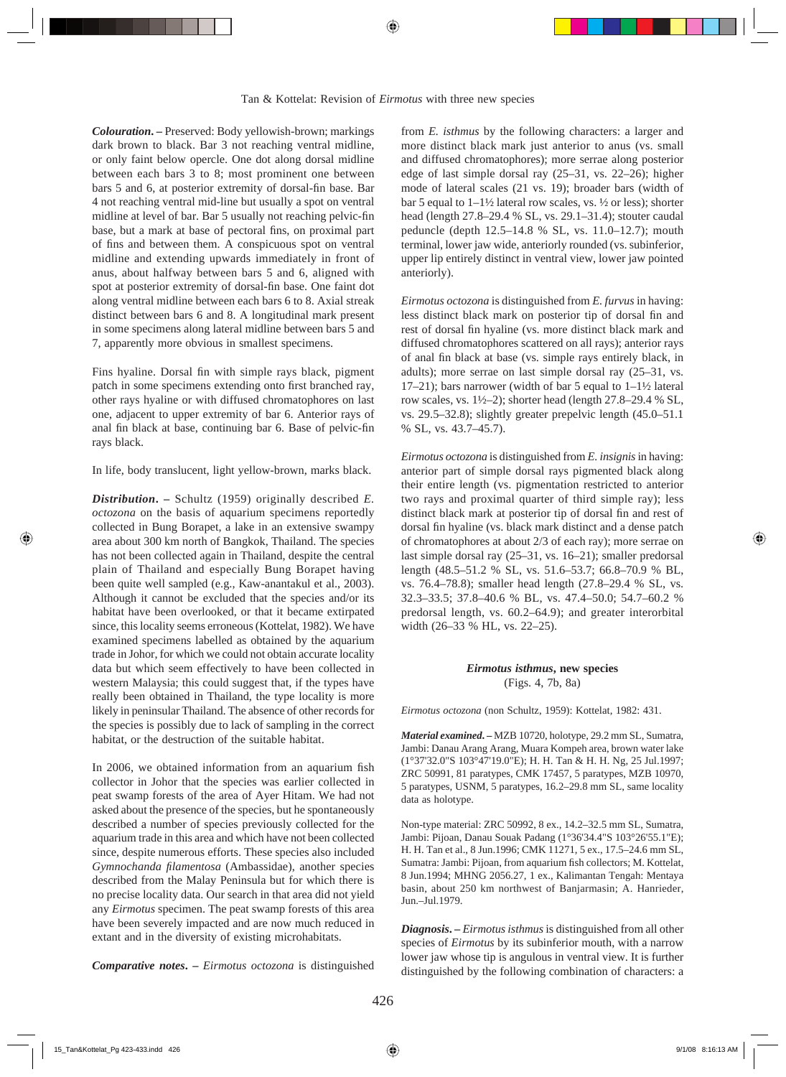*Colouration***. –** Preserved: Body yellowish-brown; markings dark brown to black. Bar 3 not reaching ventral midline, or only faint below opercle. One dot along dorsal midline between each bars 3 to 8; most prominent one between bars 5 and 6, at posterior extremity of dorsal-fin base. Bar 4 not reaching ventral mid-line but usually a spot on ventral midline at level of bar. Bar 5 usually not reaching pelvic-fin base, but a mark at base of pectoral fins, on proximal part of fins and between them. A conspicuous spot on ventral midline and extending upwards immediately in front of anus, about halfway between bars 5 and 6, aligned with spot at posterior extremity of dorsal-fin base. One faint dot along ventral midline between each bars 6 to 8. Axial streak distinct between bars 6 and 8. A longitudinal mark present in some specimens along lateral midline between bars 5 and 7, apparently more obvious in smallest specimens.

Fins hyaline. Dorsal fin with simple rays black, pigment patch in some specimens extending onto first branched ray, other rays hyaline or with diffused chromatophores on last one, adjacent to upper extremity of bar 6. Anterior rays of anal fin black at base, continuing bar 6. Base of pelvic-fin rays black.

In life, body translucent, light yellow-brown, marks black.

*Distribution***. –** Schultz (1959) originally described *E. octozona* on the basis of aquarium specimens reportedly collected in Bung Borapet, a lake in an extensive swampy area about 300 km north of Bangkok, Thailand. The species has not been collected again in Thailand, despite the central plain of Thailand and especially Bung Borapet having been quite well sampled (e.g., Kaw-anantakul et al., 2003). Although it cannot be excluded that the species and/or its habitat have been overlooked, or that it became extirpated since, this locality seems erroneous (Kottelat, 1982). We have examined specimens labelled as obtained by the aquarium trade in Johor, for which we could not obtain accurate locality data but which seem effectively to have been collected in western Malaysia; this could suggest that, if the types have really been obtained in Thailand, the type locality is more likely in peninsular Thailand. The absence of other records for the species is possibly due to lack of sampling in the correct habitat, or the destruction of the suitable habitat.

In 2006, we obtained information from an aquarium fish collector in Johor that the species was earlier collected in peat swamp forests of the area of Ayer Hitam. We had not asked about the presence of the species, but he spontaneously described a number of species previously collected for the aquarium trade in this area and which have not been collected since, despite numerous efforts. These species also included Gymnochanda filamentosa (Ambassidae), another species described from the Malay Peninsula but for which there is no precise locality data. Our search in that area did not yield any *Eirmotus* specimen. The peat swamp forests of this area have been severely impacted and are now much reduced in extant and in the diversity of existing microhabitats.

*Comparative notes***. –** *Eirmotus octozona* is distinguished

from *E. isthmus* by the following characters: a larger and more distinct black mark just anterior to anus (vs. small and diffused chromatophores); more serrae along posterior edge of last simple dorsal ray (25–31, vs. 22–26); higher mode of lateral scales (21 vs. 19); broader bars (width of bar 5 equal to  $1-1\frac{1}{2}$  lateral row scales, vs.  $\frac{1}{2}$  or less); shorter head (length 27.8–29.4 % SL, vs. 29.1–31.4); stouter caudal peduncle (depth 12.5–14.8 % SL, vs. 11.0–12.7); mouth terminal, lower jaw wide, anteriorly rounded (vs. subinferior, upper lip entirely distinct in ventral view, lower jaw pointed anteriorly).

*Eirmotus octozona* is distinguished from *E. furvus* in having: less distinct black mark on posterior tip of dorsal fin and rest of dorsal fin hyaline (vs. more distinct black mark and diffused chromatophores scattered on all rays); anterior rays of anal fin black at base (vs. simple rays entirely black, in adults); more serrae on last simple dorsal ray (25–31, vs. 17–21); bars narrower (width of bar 5 equal to 1–1½ lateral row scales, vs.  $1\frac{1}{2}$ ); shorter head (length 27.8–29.4 % SL, vs. 29.5–32.8); slightly greater prepelvic length (45.0–51.1 % SL, vs. 43.7–45.7).

*Eirmotus octozona* is distinguished from *E. insignis* in having: anterior part of simple dorsal rays pigmented black along their entire length (vs. pigmentation restricted to anterior two rays and proximal quarter of third simple ray); less distinct black mark at posterior tip of dorsal fin and rest of dorsal fin hyaline (vs. black mark distinct and a dense patch of chromatophores at about 2/3 of each ray); more serrae on last simple dorsal ray (25–31, vs. 16–21); smaller predorsal length (48.5–51.2 % SL, vs. 51.6–53.7; 66.8–70.9 % BL, vs. 76.4–78.8); smaller head length (27.8–29.4 % SL, vs. 32.3–33.5; 37.8–40.6 % BL, vs. 47.4–50.0; 54.7–60.2 % predorsal length, vs. 60.2–64.9); and greater interorbital width (26–33 % HL, vs. 22–25).

> *Eirmotus isthmus***, new species** (Figs. 4, 7b, 8a)

*Eirmotus octozona* (non Schultz, 1959): Kottelat, 1982: 431.

*Material examined***. –** MZB 10720, holotype, 29.2 mm SL, Sumatra, Jambi: Danau Arang Arang, Muara Kompeh area, brown water lake (1°37'32.0"S 103°47'19.0"E); H. H. Tan & H. H. Ng, 25 Jul.1997; ZRC 50991, 81 paratypes, CMK 17457, 5 paratypes, MZB 10970, 5 paratypes, USNM, 5 paratypes, 16.2–29.8 mm SL, same locality data as holotype.

Non-type material: ZRC 50992, 8 ex., 14.2–32.5 mm SL, Sumatra, Jambi: Pijoan, Danau Souak Padang (1°36'34.4"S 103°26'55.1"E); H. H. Tan et al., 8 Jun.1996; CMK 11271, 5 ex., 17.5–24.6 mm SL, Sumatra: Jambi: Pijoan, from aquarium fish collectors; M. Kottelat, 8 Jun.1994; MHNG 2056.27, 1 ex., Kalimantan Tengah: Mentaya basin, about 250 km northwest of Banjarmasin; A. Hanrieder, Jun.–Jul.1979.

*Diagnosis.* – *Eirmotus isthmus* is distinguished from all other species of *Eirmotus* by its subinferior mouth, with a narrow lower jaw whose tip is angulous in ventral view. It is further distinguished by the following combination of characters: a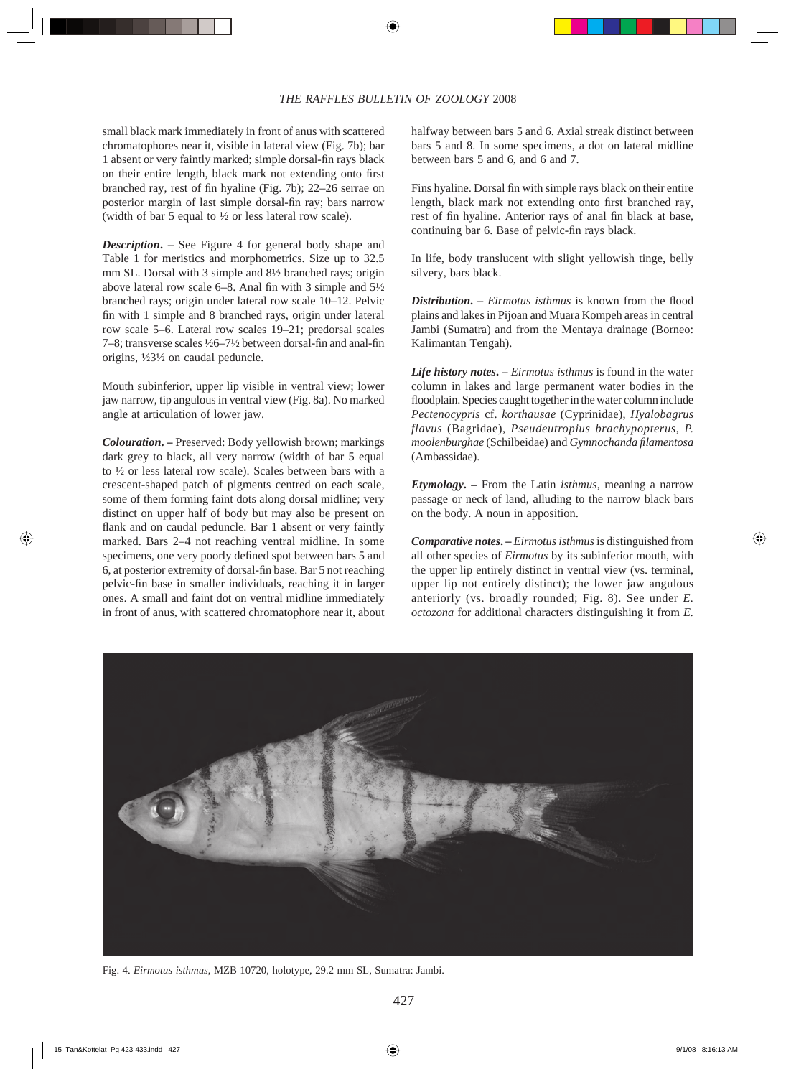small black mark immediately in front of anus with scattered chromatophores near it, visible in lateral view (Fig. 7b); bar 1 absent or very faintly marked; simple dorsal-fin rays black on their entire length, black mark not extending onto first branched ray, rest of fin hyaline (Fig. 7b); 22–26 serrae on posterior margin of last simple dorsal-fin ray; bars narrow (width of bar 5 equal to ½ or less lateral row scale).

*Description***. –** See Figure 4 for general body shape and Table 1 for meristics and morphometrics. Size up to 32.5 mm SL. Dorsal with 3 simple and 8½ branched rays; origin above lateral row scale 6–8. Anal fin with 3 simple and  $5\frac{1}{2}$ branched rays; origin under lateral row scale 10–12. Pelvic fin with 1 simple and 8 branched rays, origin under lateral row scale 5–6. Lateral row scales 19–21; predorsal scales 7–8; transverse scales  $\frac{1}{26}$ –7 $\frac{1}{2}$  between dorsal-fin and anal-fin origins, ½3½ on caudal peduncle.

Mouth subinferior, upper lip visible in ventral view; lower jaw narrow, tip angulous in ventral view (Fig. 8a). No marked angle at articulation of lower jaw.

*Colouration***. –** Preserved: Body yellowish brown; markings dark grey to black, all very narrow (width of bar 5 equal to ½ or less lateral row scale). Scales between bars with a crescent-shaped patch of pigments centred on each scale, some of them forming faint dots along dorsal midline; very distinct on upper half of body but may also be present on flank and on caudal peduncle. Bar 1 absent or very faintly marked. Bars 2–4 not reaching ventral midline. In some specimens, one very poorly defined spot between bars 5 and 6, at posterior extremity of dorsal-fin base. Bar 5 not reaching pelvic-fin base in smaller individuals, reaching it in larger ones. A small and faint dot on ventral midline immediately in front of anus, with scattered chromatophore near it, about halfway between bars 5 and 6. Axial streak distinct between bars 5 and 8. In some specimens, a dot on lateral midline between bars 5 and 6, and 6 and 7.

Fins hyaline. Dorsal fin with simple rays black on their entire length, black mark not extending onto first branched ray, rest of fin hyaline. Anterior rays of anal fin black at base, continuing bar 6. Base of pelvic-fin rays black.

In life, body translucent with slight yellowish tinge, belly silvery, bars black.

*Distribution.* – *Eirmotus isthmus* is known from the flood plains and lakes in Pijoan and Muara Kompeh areas in central Jambi (Sumatra) and from the Mentaya drainage (Borneo: Kalimantan Tengah).

*Life history notes***. –** *Eirmotus isthmus* is found in the water column in lakes and large permanent water bodies in the floodplain. Species caught together in the water column include *Pectenocypris* cf. *korthausae* (Cyprinidae), *Hyalobagrus flavus* (Bagridae), *Pseudeutropius brachypopterus*, *P. moolenburghae* (Schilbeidae) and *Gymnochanda fi lamentosa* (Ambassidae).

*Etymology***. –** From the Latin *isthmus*, meaning a narrow passage or neck of land, alluding to the narrow black bars on the body. A noun in apposition.

*Comparative notes.* – *Eirmotus isthmus* is distinguished from all other species of *Eirmotus* by its subinferior mouth, with the upper lip entirely distinct in ventral view (vs. terminal, upper lip not entirely distinct); the lower jaw angulous anteriorly (vs. broadly rounded; Fig. 8). See under *E. octozona* for additional characters distinguishing it from *E.* 



Fig. 4. *Eirmotus isthmus*, MZB 10720, holotype, 29.2 mm SL, Sumatra: Jambi.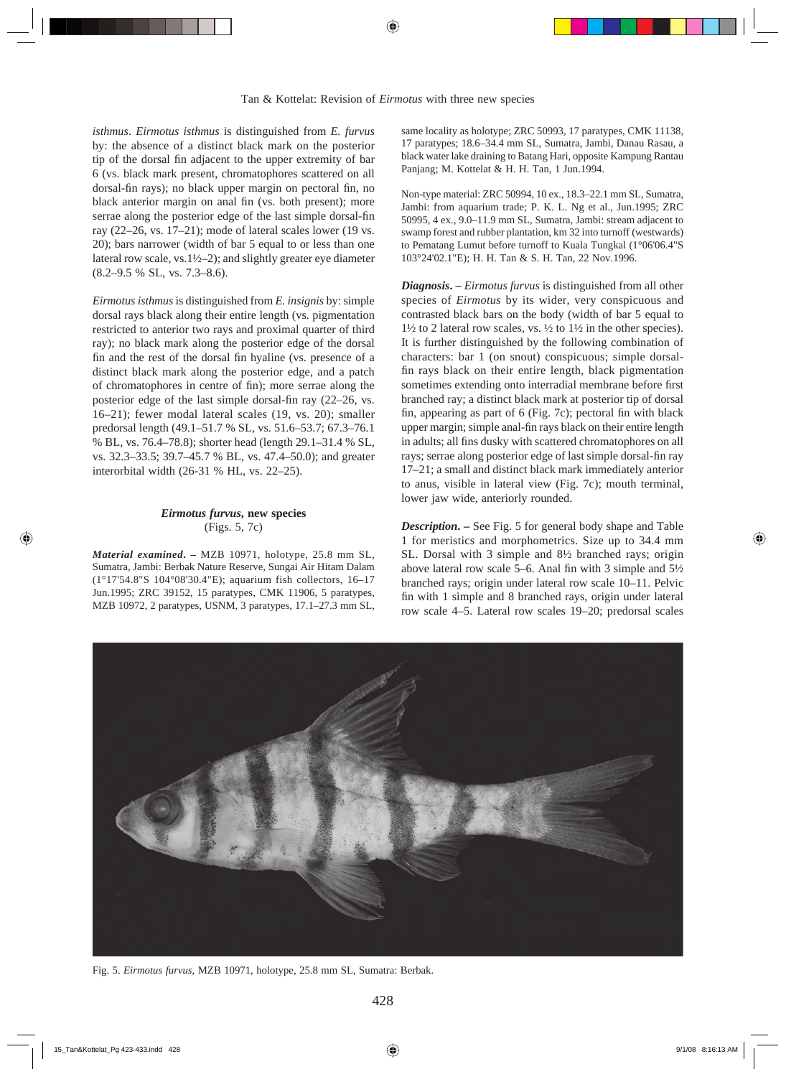*isthmus*. *Eirmotus isthmus* is distinguished from *E. furvus* by: the absence of a distinct black mark on the posterior tip of the dorsal fin adjacent to the upper extremity of bar 6 (vs. black mark present, chromatophores scattered on all dorsal-fin rays); no black upper margin on pectoral fin, no black anterior margin on anal fin (vs. both present); more serrae along the posterior edge of the last simple dorsal-fin ray (22–26, vs. 17–21); mode of lateral scales lower (19 vs. 20); bars narrower (width of bar 5 equal to or less than one lateral row scale, vs.1½–2); and slightly greater eye diameter (8.2–9.5 % SL, vs. 7.3–8.6).

*Eirmotus isthmus* is distinguished from *E. insignis* by: simple dorsal rays black along their entire length (vs. pigmentation restricted to anterior two rays and proximal quarter of third ray); no black mark along the posterior edge of the dorsal fin and the rest of the dorsal fin hyaline (vs. presence of a distinct black mark along the posterior edge, and a patch of chromatophores in centre of fin); more serrae along the posterior edge of the last simple dorsal-fin ray (22–26, vs. 16–21); fewer modal lateral scales (19, vs. 20); smaller predorsal length (49.1–51.7 % SL, vs. 51.6–53.7; 67.3–76.1 % BL, vs. 76.4–78.8); shorter head (length 29.1–31.4 % SL, vs. 32.3–33.5; 39.7–45.7 % BL, vs. 47.4–50.0); and greater interorbital width (26-31 % HL, vs. 22–25).

## *Eirmotus furvus***, new species** (Figs. 5, 7c)

*Material examined***. –** MZB 10971, holotype, 25.8 mm SL, Sumatra, Jambi: Berbak Nature Reserve, Sungai Air Hitam Dalam (1°17'54.8"S 104°08'30.4"E); aquarium fish collectors, 16–17 Jun.1995; ZRC 39152, 15 paratypes, CMK 11906, 5 paratypes, MZB 10972, 2 paratypes, USNM, 3 paratypes, 17.1–27.3 mm SL, same locality as holotype; ZRC 50993, 17 paratypes, CMK 11138, 17 paratypes; 18.6–34.4 mm SL, Sumatra, Jambi, Danau Rasau, a black water lake draining to Batang Hari, opposite Kampung Rantau Panjang; M. Kottelat & H. H. Tan, 1 Jun.1994.

Non-type material: ZRC 50994, 10 ex., 18.3–22.1 mm SL, Sumatra, Jambi: from aquarium trade; P. K. L. Ng et al., Jun.1995; ZRC 50995, 4 ex., 9.0–11.9 mm SL, Sumatra, Jambi: stream adjacent to swamp forest and rubber plantation, km 32 into turnoff (westwards) to Pematang Lumut before turnoff to Kuala Tungkal (1°06'06.4"S 103°24'02.1"E); H. H. Tan & S. H. Tan, 22 Nov.1996.

*Diagnosis***. –** *Eirmotus furvus* is distinguished from all other species of *Eirmotus* by its wider, very conspicuous and contrasted black bars on the body (width of bar 5 equal to  $1\frac{1}{2}$  to 2 lateral row scales, vs.  $\frac{1}{2}$  to  $1\frac{1}{2}$  in the other species). It is further distinguished by the following combination of characters: bar 1 (on snout) conspicuous; simple dorsalfin rays black on their entire length, black pigmentation sometimes extending onto interradial membrane before first branched ray; a distinct black mark at posterior tip of dorsal fin, appearing as part of  $6$  (Fig. 7c); pectoral fin with black upper margin; simple anal-fin rays black on their entire length in adults; all fins dusky with scattered chromatophores on all rays; serrae along posterior edge of last simple dorsal-fin ray 17–21; a small and distinct black mark immediately anterior to anus, visible in lateral view (Fig. 7c); mouth terminal, lower jaw wide, anteriorly rounded.

*Description***. –** See Fig. 5 for general body shape and Table 1 for meristics and morphometrics. Size up to 34.4 mm SL. Dorsal with 3 simple and 8½ branched rays; origin above lateral row scale 5–6. Anal fin with 3 simple and  $5\frac{1}{2}$ branched rays; origin under lateral row scale 10–11. Pelvic fin with 1 simple and 8 branched rays, origin under lateral row scale 4–5. Lateral row scales 19–20; predorsal scales



Fig. 5. *Eirmotus furvus*, MZB 10971, holotype, 25.8 mm SL, Sumatra: Berbak.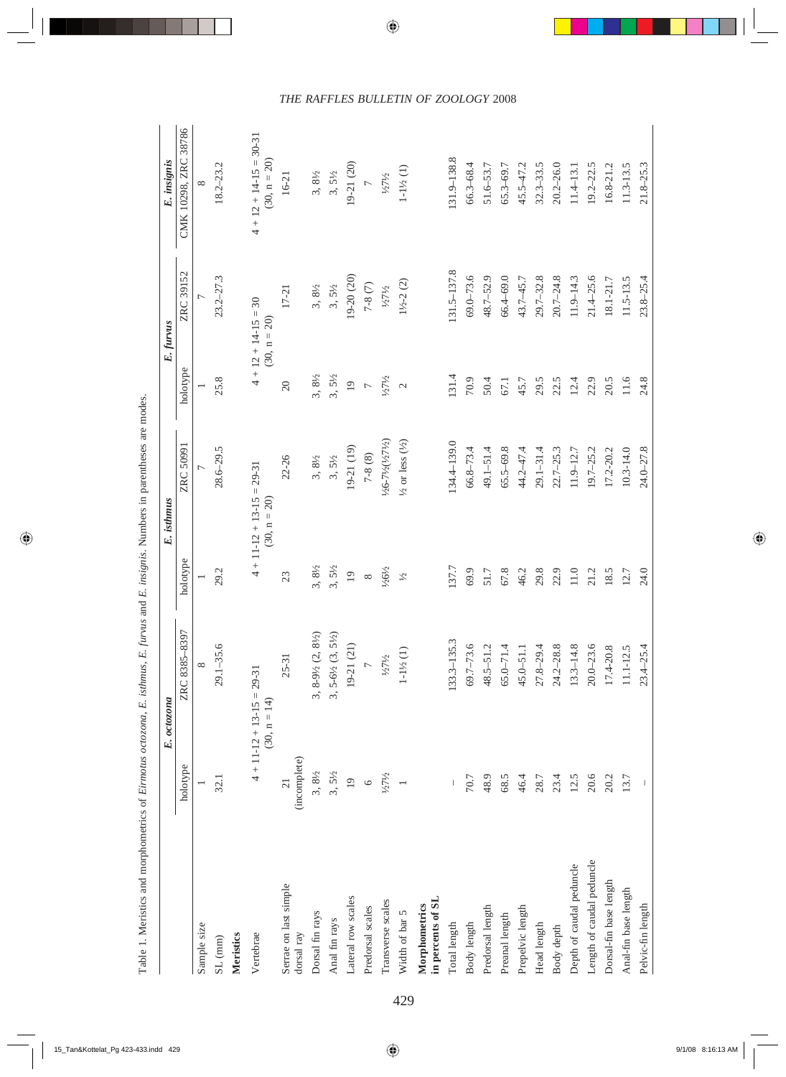|                                    |                   | E. octozona                                         |                   | E. isthmus                                          |                                     | E. furvus                                 | E. insignis                                  |
|------------------------------------|-------------------|-----------------------------------------------------|-------------------|-----------------------------------------------------|-------------------------------------|-------------------------------------------|----------------------------------------------|
|                                    | holotype          | 8397<br>ZRC 8385-                                   | holotype          | ZRC 50991                                           | holotype                            | ZRC 39152                                 | CMK 10298, ZRC 38786                         |
| Sample size                        |                   |                                                     |                   |                                                     |                                     |                                           |                                              |
| SL (mm)                            | 32.1              | $29.1 - 35.6$                                       | 29.2              | $28.6 - 29.5$                                       | 25.8                                | $23.2 - 27.3$                             | $18.2 - 23.2$                                |
| Meristics                          |                   |                                                     |                   |                                                     |                                     |                                           |                                              |
| Vertebrae                          |                   | $4 + 11 - 12 + 13 - 15 = 29 - 31$<br>$(30, n = 14)$ |                   | $4 + 11 - 12 + 13 - 15 = 29 - 31$<br>$(30, n = 20)$ |                                     | $4 + 12 + 14 - 15 = 30$<br>$(30, n = 20)$ | $4 + 12 + 14 - 15 = 30 - 31$<br>(30, n = 20) |
| Serrae on last simple              | $\overline{c}$    | $25 - 31$                                           | 23                | 22-26                                               | $\overline{20}$                     | $17 - 21$                                 | $16-21$                                      |
| dorsal ray                         | (incomplete)      |                                                     |                   |                                                     |                                     |                                           |                                              |
| Dorsal fin rays                    | $3,\,8\%$         | $8\frac{1}{2}$<br>3, $8-9\frac{1}{2}$ (2,           | $3, 8\frac{1}{2}$ | $3, \, 8\%$                                         | $3, 8\frac{1}{2}$                   | $3, \, 8\%$                               | $3, 8\frac{1}{2}$                            |
| Anal fin rays                      |                   | $5\frac{1}{2}$<br>$3, 5-6\frac{1}{2} (3,$           | $3,5\frac{1}{2}$  | $3, 5\frac{1}{2}$<br>19-21 (19)                     | $3,5\frac{1}{2}$                    | $3,5\frac{1}{2}$                          | $3,5\frac{1}{2}$                             |
| Lateral row scales                 | $3, 5\frac{1}{2}$ | $19-21(21)$                                         | $\overline{19}$   |                                                     |                                     | $19-20(20)$                               | 19-21 (20)                                   |
| Predorsal scales                   | $\circ$           | $\overline{\phantom{0}}$                            | $\infty$          | $7-8(8)$                                            | $\frac{19}{7}$<br>$\frac{7}{121/2}$ | $7-8\ (7)$                                | $\overline{r}$                               |
| Transverse scales                  | $\frac{1}{27}$    | 1/271/2                                             | $1/26\frac{1}{2}$ | 1/26-71/2(1/271/2)                                  |                                     | 1/27/2                                    | 1/271/2                                      |
| Width of bar 5                     | $\overline{a}$    | $1\text{--}1\frac{1}{2}\left(1\right)$              | $\tilde{\gamma}$  | $\frac{1}{2}$ or less $\left(\frac{1}{2}\right)$    | $\overline{\mathcal{C}}$            | $1\frac{1}{2} - 2(2)$                     | $1\text{--}1\frac{1}{2}$ $(1)$               |
| in percents of SL<br>Morphometrics |                   |                                                     |                   |                                                     |                                     |                                           |                                              |
| Total length                       |                   | $133.3 - 135.3$                                     | 137.7             | 134.4-139.0                                         | 131.4                               | 131.5-137.8                               | 131.9-138.8                                  |
| Body length                        | $70.7\,$          |                                                     | 69.9              | $66.8 - 73.4$                                       | 70.9                                | $69.0 - 73.6$                             | $66.3 - 68.4$                                |
| Predorsal length                   | 48.9              | $69.7 - 73.6$<br>48.5-51.2                          | $51.7$            | $49.1 - 51.4$                                       | 50.4                                | $48.7 - 52.9$                             | $51.6 - 53.7$                                |
| Preanal length                     | 68.5              | $65.0 - 71.4$                                       | 67.8              | $65.5 - 69.8$                                       | 67.1                                | $66.4 - 69.0$                             | $65.3 - 69.7$                                |
| Prepelvic length                   | 46.4              | $45.0 - 51.1$                                       | 46.2              | 44.2-47.4                                           | 45.7                                | 43.7-45.7                                 | $45.5 - 47.2$                                |
| Head length                        | 28.7              | $27.8 - 29.4$                                       | 29.8              | $29.1 - 31.4$                                       | 29.5                                | $29.7 - 32.8$                             | $32.3 - 33.5$                                |
| Body depth                         | 23.4              | $24.2 - 28.8$                                       | 22.9              | $22.7 - 25.3$                                       | 22.5                                | $20.7 - 24.8$                             | $20.2 - 26.0$                                |
| Depth of caudal peduncle           | 12.5              | $13.3 - 14.$                                        | 11.0              | $11.9 - 12.7$                                       | 12.4                                | $11.9 - 14.3$                             | $11.4 - 13.1$                                |
| Length of caudal peduncle          | 20.6              | $20.0 - 23.6$                                       | 21.2              | $19.7 - 25.2$                                       | 22.9                                | $21.4 - 25.6$                             | $19.2 - 22.5$                                |
| Dorsal-fin base length             | 20.2              | $17.4 - 20.8$                                       | 18.5              | $17.2 - 20.2$                                       | $20.5$                              | $18.1 - 21.7$                             | $16.8 - 21.2$                                |
| Anal-fin base length               | 13.7              | $11.1 - 12.5$                                       | 12.7              | $10.3 - 14.0$                                       | $11.6$                              | $11.5 - 13.5$                             | $11.3 - 13.5$                                |
| Pelvic-fin length                  |                   | $23.4 - 25.4$                                       | 24.0              | 24.0-27.8                                           | 24.8                                | $23.8 - 25.4$                             | $21.8 - 25.3$                                |

Table 1. Meristics and morphometrics of Eirmotus octozona, E. isthmus, E. furvus and E. insignis. Numbers in parentheses are modes. Table 1. Meristics and morphometrics of *Eirmotus octozona*, *E. isthmus*, *E. furvus* and *E. insignis*. Numbers in parentheses are modes.

# *THE RAFFLES BULLETIN OF ZOOLOGY* 2008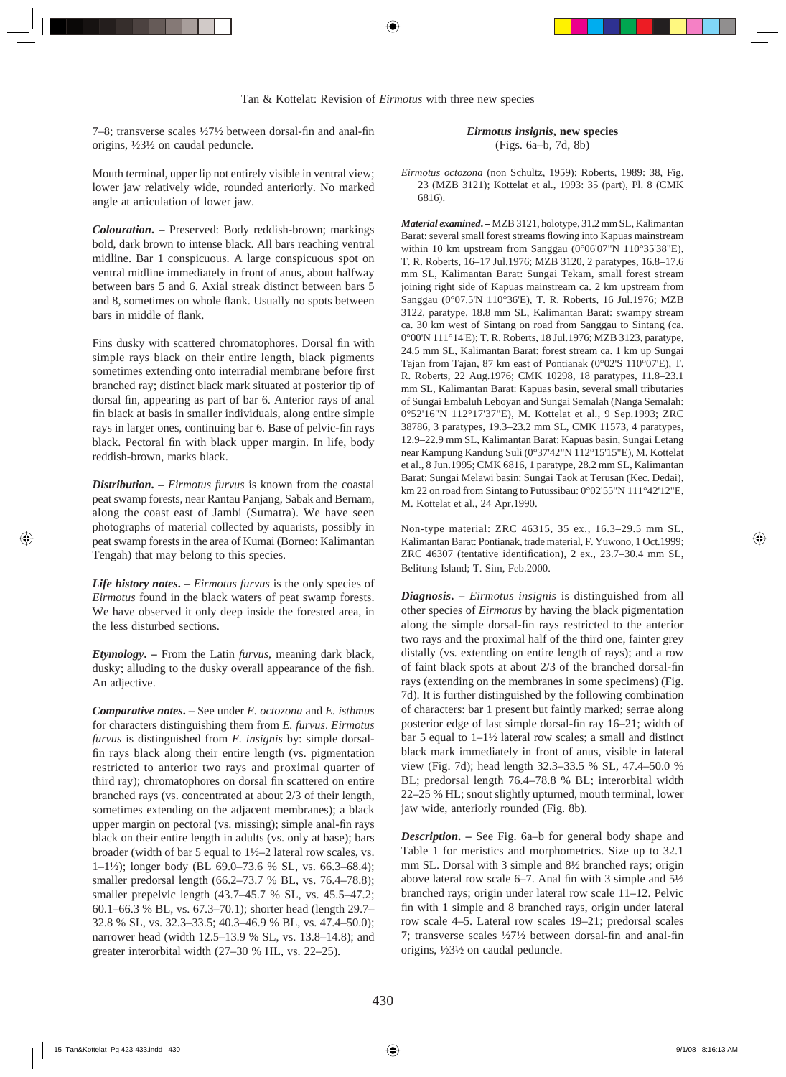7–8; transverse scales  $\frac{1}{27}\frac{1}{2}$  between dorsal-fin and anal-fin origins, ½3½ on caudal peduncle.

Mouth terminal, upper lip not entirely visible in ventral view; lower jaw relatively wide, rounded anteriorly. No marked angle at articulation of lower jaw.

*Colouration***. –** Preserved: Body reddish-brown; markings bold, dark brown to intense black. All bars reaching ventral midline. Bar 1 conspicuous. A large conspicuous spot on ventral midline immediately in front of anus, about halfway between bars 5 and 6. Axial streak distinct between bars 5 and 8, sometimes on whole flank. Usually no spots between bars in middle of flank.

Fins dusky with scattered chromatophores. Dorsal fin with simple rays black on their entire length, black pigments sometimes extending onto interradial membrane before first branched ray; distinct black mark situated at posterior tip of dorsal fin, appearing as part of bar 6. Anterior rays of anal fin black at basis in smaller individuals, along entire simple rays in larger ones, continuing bar 6. Base of pelvic-fin rays black. Pectoral fin with black upper margin. In life, body reddish-brown, marks black.

*Distribution***. –** *Eirmotus furvus* is known from the coastal peat swamp forests, near Rantau Panjang, Sabak and Bernam, along the coast east of Jambi (Sumatra). We have seen photographs of material collected by aquarists, possibly in peat swamp forests in the area of Kumai (Borneo: Kalimantan Tengah) that may belong to this species.

*Life history notes***. –** *Eirmotus furvus* is the only species of *Eirmotus* found in the black waters of peat swamp forests. We have observed it only deep inside the forested area, in the less disturbed sections.

*Etymology***. –** From the Latin *furvus*, meaning dark black, dusky; alluding to the dusky overall appearance of the fish. An adjective.

*Comparative notes***. –** See under *E. octozona* and *E. isthmus* for characters distinguishing them from *E. furvus*. *Eirmotus furvus* is distinguished from *E. insignis* by: simple dorsalfin rays black along their entire length (vs. pigmentation restricted to anterior two rays and proximal quarter of third ray); chromatophores on dorsal fin scattered on entire branched rays (vs. concentrated at about 2/3 of their length, sometimes extending on the adjacent membranes); a black upper margin on pectoral (vs. missing); simple anal-fin rays black on their entire length in adults (vs. only at base); bars broader (width of bar 5 equal to 1½–2 lateral row scales, vs. 1–1½); longer body (BL 69.0–73.6 % SL, vs. 66.3–68.4); smaller predorsal length (66.2–73.7 % BL, vs. 76.4–78.8); smaller prepelvic length (43.7–45.7 % SL, vs. 45.5–47.2; 60.1–66.3 % BL, vs. 67.3–70.1); shorter head (length 29.7– 32.8 % SL, vs. 32.3–33.5; 40.3–46.9 % BL, vs. 47.4–50.0); narrower head (width 12.5–13.9 % SL, vs. 13.8–14.8); and greater interorbital width (27–30 % HL, vs. 22–25).

*Eirmotus insignis***, new species** (Figs. 6a–b, 7d, 8b)

*Eirmotus octozona* (non Schultz, 1959): Roberts, 1989: 38, Fig. 23 (MZB 3121); Kottelat et al., 1993: 35 (part), Pl. 8 (CMK 6816).

*Material examined***. –** MZB 3121, holotype, 31.2 mm SL, Kalimantan Barat: several small forest streams flowing into Kapuas mainstream within 10 km upstream from Sanggau (0°06'07"N 110°35'38"E), T. R. Roberts, 16–17 Jul.1976; MZB 3120, 2 paratypes, 16.8–17.6 mm SL, Kalimantan Barat: Sungai Tekam, small forest stream joining right side of Kapuas mainstream ca. 2 km upstream from Sanggau (0°07.5'N 110°36'E), T. R. Roberts, 16 Jul.1976; MZB 3122, paratype, 18.8 mm SL, Kalimantan Barat: swampy stream ca. 30 km west of Sintang on road from Sanggau to Sintang (ca. 0°00'N 111°14'E); T. R. Roberts, 18 Jul.1976; MZB 3123, paratype, 24.5 mm SL, Kalimantan Barat: forest stream ca. 1 km up Sungai Tajan from Tajan, 87 km east of Pontianak (0°02'S 110°07'E), T. R. Roberts, 22 Aug.1976; CMK 10298, 18 paratypes, 11.8–23.1 mm SL, Kalimantan Barat: Kapuas basin, several small tributaries of Sungai Embaluh Leboyan and Sungai Semalah (Nanga Semalah: 0°52'16"N 112°17'37"E), M. Kottelat et al., 9 Sep.1993; ZRC 38786, 3 paratypes, 19.3–23.2 mm SL, CMK 11573, 4 paratypes, 12.9–22.9 mm SL, Kalimantan Barat: Kapuas basin, Sungai Letang near Kampung Kandung Suli (0°37'42"N 112°15'15"E), M. Kottelat et al., 8 Jun.1995; CMK 6816, 1 paratype, 28.2 mm SL, Kalimantan Barat: Sungai Melawi basin: Sungai Taok at Terusan (Kec. Dedai), km 22 on road from Sintang to Putussibau: 0°02'55"N 111°42'12"E, M. Kottelat et al., 24 Apr.1990.

Non-type material: ZRC 46315, 35 ex., 16.3–29.5 mm SL, Kalimantan Barat: Pontianak, trade material, F. Yuwono, 1 Oct.1999; ZRC 46307 (tentative identification),  $2 \text{ ex.}$ ,  $23.7-30.4 \text{ mm SL}$ , Belitung Island; T. Sim, Feb.2000.

*Diagnosis***. –** *Eirmotus insignis* is distinguished from all other species of *Eirmotus* by having the black pigmentation along the simple dorsal-fin rays restricted to the anterior two rays and the proximal half of the third one, fainter grey distally (vs. extending on entire length of rays); and a row of faint black spots at about  $2/3$  of the branched dorsal-fin rays (extending on the membranes in some specimens) (Fig. 7d). It is further distinguished by the following combination of characters: bar 1 present but faintly marked; serrae along posterior edge of last simple dorsal-fin ray 16–21; width of bar 5 equal to 1–1½ lateral row scales; a small and distinct black mark immediately in front of anus, visible in lateral view (Fig. 7d); head length 32.3–33.5 % SL, 47.4–50.0 % BL; predorsal length 76.4–78.8 % BL; interorbital width 22–25 % HL; snout slightly upturned, mouth terminal, lower jaw wide, anteriorly rounded (Fig. 8b).

*Description***. –** See Fig. 6a–b for general body shape and Table 1 for meristics and morphometrics. Size up to 32.1 mm SL. Dorsal with 3 simple and 8½ branched rays; origin above lateral row scale 6–7. Anal fin with 3 simple and  $5\frac{1}{2}$ branched rays; origin under lateral row scale 11–12. Pelvic fin with 1 simple and 8 branched rays, origin under lateral row scale 4–5. Lateral row scales 19–21; predorsal scales 7; transverse scales  $\frac{1}{27}\frac{1}{2}$  between dorsal-fin and anal-fin origins, ½3½ on caudal peduncle.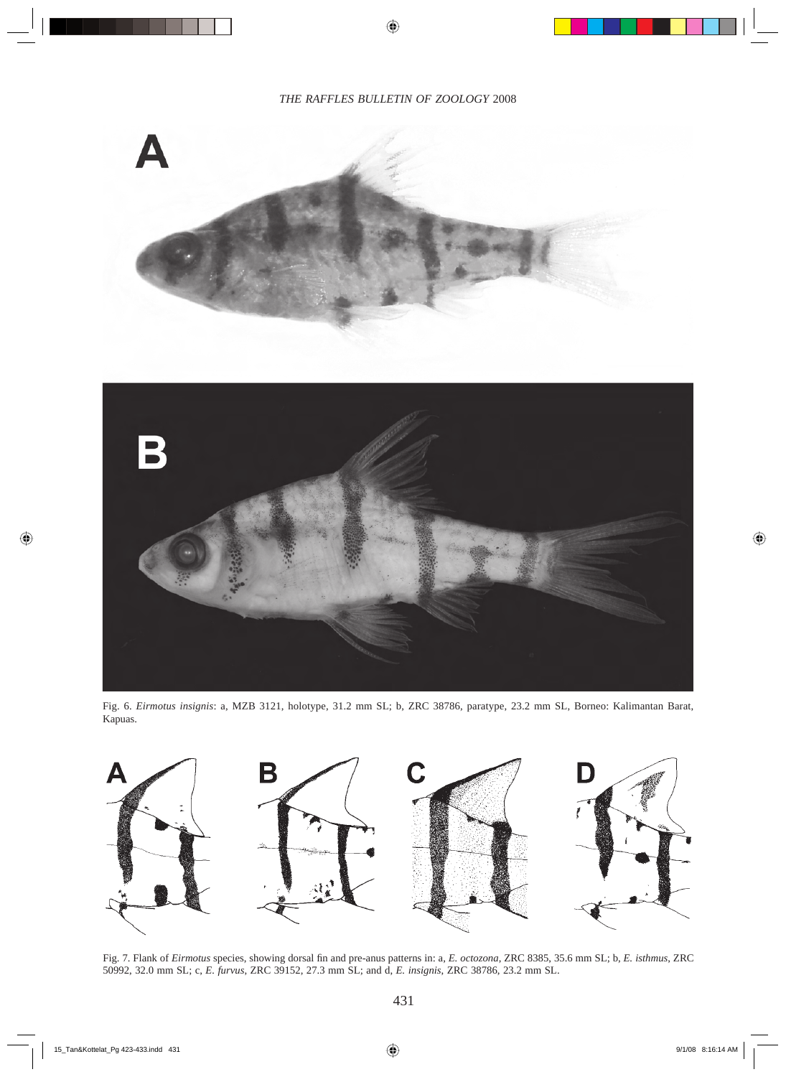

Fig. 6. *Eirmotus insignis*: a, MZB 3121, holotype, 31.2 mm SL; b, ZRC 38786, paratype, 23.2 mm SL, Borneo: Kalimantan Barat, Kapuas.



Fig. 7. Flank of *Eirmotus* species, showing dorsal fin and pre-anus patterns in: a, *E. octozona*, ZRC 8385, 35.6 mm SL; b, *E. isthmus*, ZRC 50992, 32.0 mm SL; c, *E. furvus*, ZRC 39152, 27.3 mm SL; and d, *E. insignis*, ZRC 38786, 23.2 mm SL.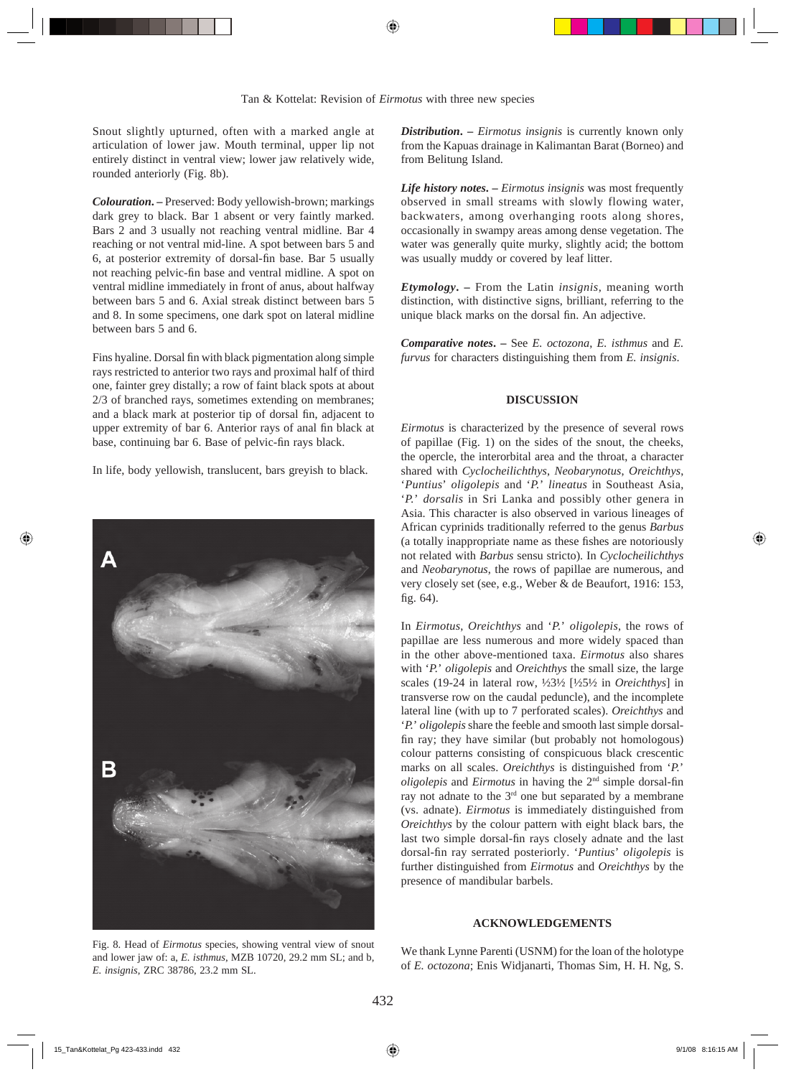Snout slightly upturned, often with a marked angle at articulation of lower jaw. Mouth terminal, upper lip not entirely distinct in ventral view; lower jaw relatively wide, rounded anteriorly (Fig. 8b).

*Colouration***. –** Preserved: Body yellowish-brown; markings dark grey to black. Bar 1 absent or very faintly marked. Bars 2 and 3 usually not reaching ventral midline. Bar 4 reaching or not ventral mid-line. A spot between bars 5 and 6, at posterior extremity of dorsal-fin base. Bar 5 usually not reaching pelvic-fin base and ventral midline. A spot on ventral midline immediately in front of anus, about halfway between bars 5 and 6. Axial streak distinct between bars 5 and 8. In some specimens, one dark spot on lateral midline between bars 5 and 6.

Fins hyaline. Dorsal fin with black pigmentation along simple rays restricted to anterior two rays and proximal half of third one, fainter grey distally; a row of faint black spots at about 2/3 of branched rays, sometimes extending on membranes; and a black mark at posterior tip of dorsal fin, adjacent to upper extremity of bar 6. Anterior rays of anal fin black at base, continuing bar 6. Base of pelvic-fin rays black.

In life, body yellowish, translucent, bars greyish to black.



Fig. 8. Head of *Eirmotus* species, showing ventral view of snout and lower jaw of: a, *E. isthmus*, MZB 10720, 29.2 mm SL; and b, *E. insignis*, ZRC 38786, 23.2 mm SL.

*Distribution***. –** *Eirmotus insignis* is currently known only from the Kapuas drainage in Kalimantan Barat (Borneo) and from Belitung Island.

*Life history notes***. –** *Eirmotus insignis* was most frequently observed in small streams with slowly flowing water, backwaters, among overhanging roots along shores, occasionally in swampy areas among dense vegetation. The water was generally quite murky, slightly acid; the bottom was usually muddy or covered by leaf litter.

*Etymology***. –** From the Latin *insignis*, meaning worth distinction, with distinctive signs, brilliant, referring to the unique black marks on the dorsal fin. An adjective.

*Comparative notes***. –** See *E. octozona*, *E. isthmus* and *E. furvus* for characters distinguishing them from *E. insignis*.

## **DISCUSSION**

*Eirmotus* is characterized by the presence of several rows of papillae (Fig. 1) on the sides of the snout, the cheeks, the opercle, the interorbital area and the throat, a character shared with *Cyclocheilichthys*, *Neobarynotus*, *Oreichthys*, '*Puntius*' *oligolepis* and '*P.*' *lineatus* in Southeast Asia, '*P.*' *dorsalis* in Sri Lanka and possibly other genera in Asia. This character is also observed in various lineages of African cyprinids traditionally referred to the genus *Barbus* (a totally inappropriate name as these fishes are notoriously not related with *Barbus* sensu stricto). In *Cyclocheilichthys* and *Neobarynotus*, the rows of papillae are numerous, and very closely set (see, e.g., Weber & de Beaufort, 1916: 153, fig.  $64$ ).

In *Eirmotus*, *Oreichthys* and '*P.*' *oligolepis*, the rows of papillae are less numerous and more widely spaced than in the other above-mentioned taxa. *Eirmotus* also shares with '*P.*' *oligolepis* and *Oreichthys* the small size, the large scales (19-24 in lateral row, ½3½ [½5½ in *Oreichthys*] in transverse row on the caudal peduncle), and the incomplete lateral line (with up to 7 perforated scales). *Oreichthys* and '*P.*' *oligolepis* share the feeble and smooth last simple dorsalfin ray; they have similar (but probably not homologous) colour patterns consisting of conspicuous black crescentic marks on all scales. *Oreichthys* is distinguished from '*P.*' *oligolepis* and *Eirmotus* in having the  $2<sup>nd</sup>$  simple dorsal-fin ray not adnate to the 3rd one but separated by a membrane (vs. adnate). *Eirmotus* is immediately distinguished from *Oreichthys* by the colour pattern with eight black bars, the last two simple dorsal-fin rays closely adnate and the last dorsal-fin ray serrated posteriorly. '*Puntius' oligolepis* is further distinguished from *Eirmotus* and *Oreichthys* by the presence of mandibular barbels.

## **ACKNOWLEDGEMENTS**

We thank Lynne Parenti (USNM) for the loan of the holotype of *E. octozona*; Enis Widjanarti, Thomas Sim, H. H. Ng, S.